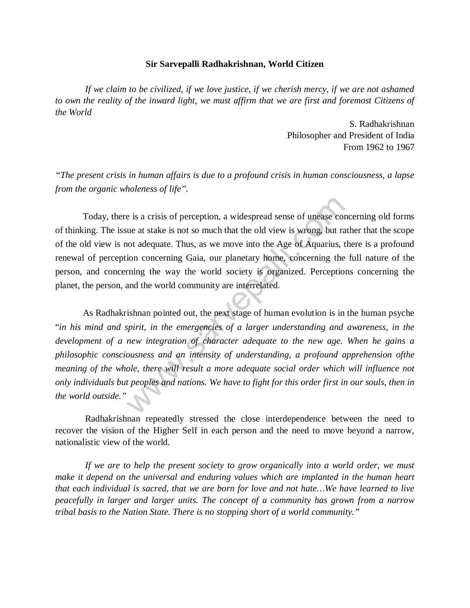## **Sir Sarvepalli Radhakrishnan, World Citizen**

*If we claim to be civilized, if we love justice, if we cherish mercy, if we are not ashamed to own the reality of the inward light, we must affirm that we are first and foremost Citizens of the World*

> S. Radhakrishnan Philosopher and President of India From 1962 to 1967

*"The present crisis in human affairs is due to a profound crisis in human consciousness, a lapse from the organic wholeness of life".*

Today, there is a crisis of perception, a widespread sense of unease concerning old forms of thinking. The issue at stake is not so much that the old view is wrong, but rather that the scope of the old view is not adequate. Thus, as we move into the Age of Aquarius, there is a profound renewal of perception concerning Gaia, our planetary home, concerning the full nature of the person, and concerning the way the world society is organized. Perceptions concerning the planet, the person, and the world community are interrelated.

As Radhakrishnan pointed out, the next stage of human evolution is in the human psyche "*in his mind and spirit, in the emergencies of a larger understanding and awareness, in the development of a new integration of character adequate to the new age. When he gains a philosophic consciousness and an intensity of understanding, a profound apprehension ofthe meaning of the whole, there will result a more adequate social order which will influence not only individuals but peoples and nations. We have to fight for this order first in our souls, then in the world outside."* is a crisis of perception, a widespread sense of unease compared at stake is not so much that the old view is wrong, but rand in and adequate. Thus, as we move into the Age of Aquarius, the incorrection concerning Gaia, ou

Radhakrishnan repeatedly stressed the close interdependence between the need to recover the vision of the Higher Self in each person and the need to move beyond a narrow, nationalistic view of the world.

*If we are to help the present society to grow organically into a world order, we must make it depend on the universal and enduring values which are implanted in the human heart that each individual is sacred, that we are born for love and not hate…We have learned to live peacefully in larger and larger units. The concept of a community has grown from a narrow tribal basis to the Nation State. There is no stopping short of a world community."*